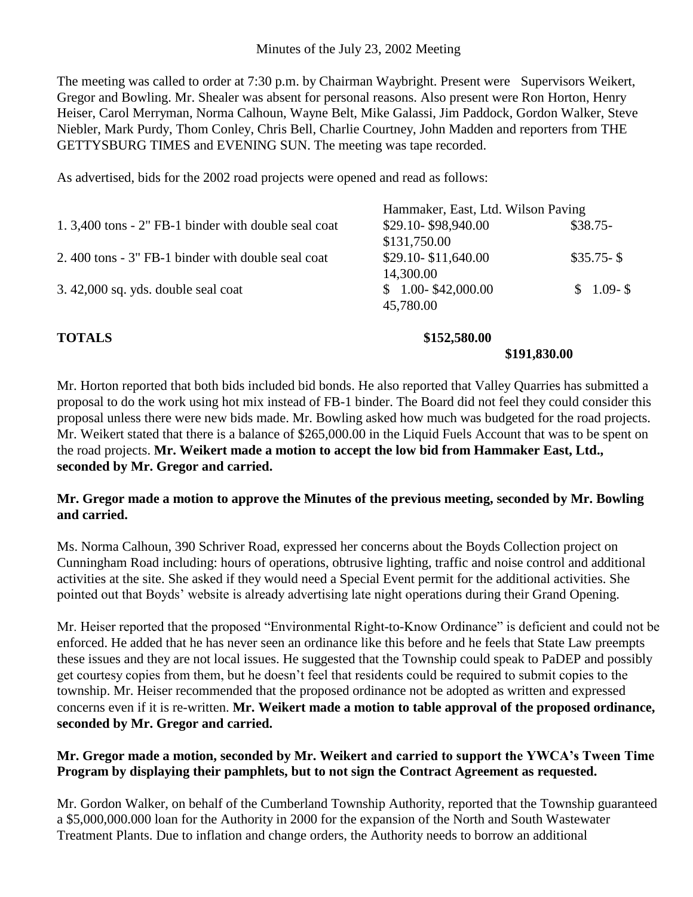The meeting was called to order at 7:30 p.m. by Chairman Waybright. Present were Supervisors Weikert, Gregor and Bowling. Mr. Shealer was absent for personal reasons. Also present were Ron Horton, Henry Heiser, Carol Merryman, Norma Calhoun, Wayne Belt, Mike Galassi, Jim Paddock, Gordon Walker, Steve Niebler, Mark Purdy, Thom Conley, Chris Bell, Charlie Courtney, John Madden and reporters from THE GETTYSBURG TIMES and EVENING SUN. The meeting was tape recorded.

As advertised, bids for the 2002 road projects were opened and read as follows:

|                                                      |                                    | \$191,830.00 |
|------------------------------------------------------|------------------------------------|--------------|
| <b>TOTALS</b>                                        | \$152,580.00                       |              |
|                                                      | 45,780.00                          |              |
| $3.42,000$ sq. yds. double seal coat                 | $$1.00-$42,000.00$                 | $$1.09-S$    |
|                                                      | 14,300.00                          |              |
| 2.400 tons - 3" FB-1 binder with double seal coat    | \$29.10-\$11,640.00                | $$35.75-S$   |
|                                                      | \$131,750.00                       |              |
| 1. 3,400 tons - 2" FB-1 binder with double seal coat | \$29.10-\$98,940.00                | $$38.75-$    |
|                                                      | Hammaker, East, Ltd. Wilson Paving |              |

Mr. Horton reported that both bids included bid bonds. He also reported that Valley Quarries has submitted a proposal to do the work using hot mix instead of FB-1 binder. The Board did not feel they could consider this proposal unless there were new bids made. Mr. Bowling asked how much was budgeted for the road projects. Mr. Weikert stated that there is a balance of \$265,000.00 in the Liquid Fuels Account that was to be spent on the road projects. **Mr. Weikert made a motion to accept the low bid from Hammaker East, Ltd., seconded by Mr. Gregor and carried.**

## **Mr. Gregor made a motion to approve the Minutes of the previous meeting, seconded by Mr. Bowling and carried.**

Ms. Norma Calhoun, 390 Schriver Road, expressed her concerns about the Boyds Collection project on Cunningham Road including: hours of operations, obtrusive lighting, traffic and noise control and additional activities at the site. She asked if they would need a Special Event permit for the additional activities. She pointed out that Boyds' website is already advertising late night operations during their Grand Opening.

Mr. Heiser reported that the proposed "Environmental Right-to-Know Ordinance" is deficient and could not be enforced. He added that he has never seen an ordinance like this before and he feels that State Law preempts these issues and they are not local issues. He suggested that the Township could speak to PaDEP and possibly get courtesy copies from them, but he doesn't feel that residents could be required to submit copies to the township. Mr. Heiser recommended that the proposed ordinance not be adopted as written and expressed concerns even if it is re-written. **Mr. Weikert made a motion to table approval of the proposed ordinance, seconded by Mr. Gregor and carried.**

## **Mr. Gregor made a motion, seconded by Mr. Weikert and carried to support the YWCA's Tween Time Program by displaying their pamphlets, but to not sign the Contract Agreement as requested.**

Mr. Gordon Walker, on behalf of the Cumberland Township Authority, reported that the Township guaranteed a \$5,000,000.000 loan for the Authority in 2000 for the expansion of the North and South Wastewater Treatment Plants. Due to inflation and change orders, the Authority needs to borrow an additional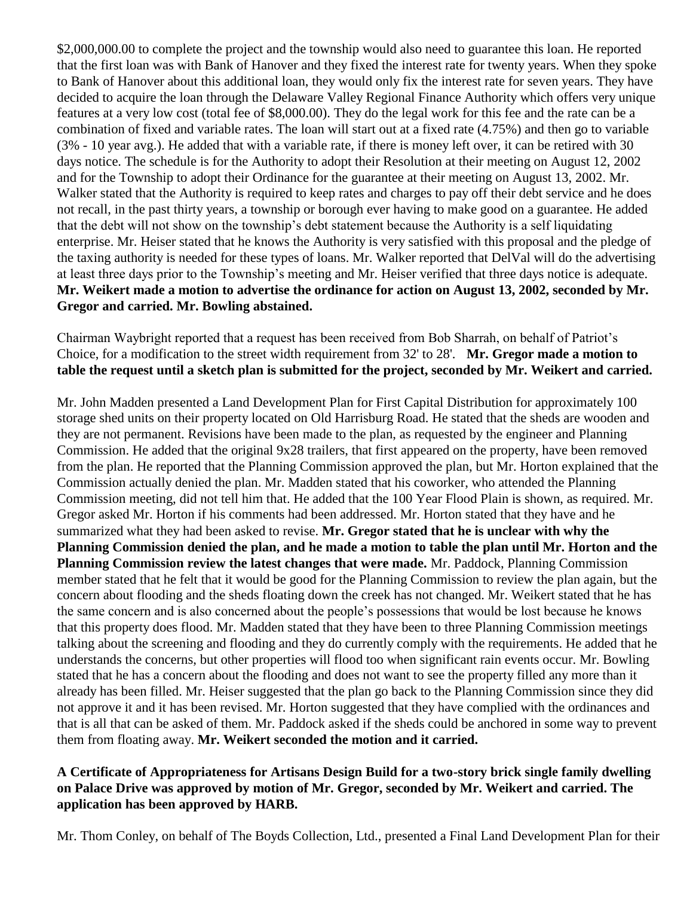\$2,000,000.00 to complete the project and the township would also need to guarantee this loan. He reported that the first loan was with Bank of Hanover and they fixed the interest rate for twenty years. When they spoke to Bank of Hanover about this additional loan, they would only fix the interest rate for seven years. They have decided to acquire the loan through the Delaware Valley Regional Finance Authority which offers very unique features at a very low cost (total fee of \$8,000.00). They do the legal work for this fee and the rate can be a combination of fixed and variable rates. The loan will start out at a fixed rate (4.75%) and then go to variable (3% - 10 year avg.). He added that with a variable rate, if there is money left over, it can be retired with 30 days notice. The schedule is for the Authority to adopt their Resolution at their meeting on August 12, 2002 and for the Township to adopt their Ordinance for the guarantee at their meeting on August 13, 2002. Mr. Walker stated that the Authority is required to keep rates and charges to pay off their debt service and he does not recall, in the past thirty years, a township or borough ever having to make good on a guarantee. He added that the debt will not show on the township's debt statement because the Authority is a self liquidating enterprise. Mr. Heiser stated that he knows the Authority is very satisfied with this proposal and the pledge of the taxing authority is needed for these types of loans. Mr. Walker reported that DelVal will do the advertising at least three days prior to the Township's meeting and Mr. Heiser verified that three days notice is adequate. **Mr. Weikert made a motion to advertise the ordinance for action on August 13, 2002, seconded by Mr. Gregor and carried. Mr. Bowling abstained.** 

Chairman Waybright reported that a request has been received from Bob Sharrah, on behalf of Patriot's Choice, for a modification to the street width requirement from 32' to 28'. **Mr. Gregor made a motion to table the request until a sketch plan is submitted for the project, seconded by Mr. Weikert and carried.**

Mr. John Madden presented a Land Development Plan for First Capital Distribution for approximately 100 storage shed units on their property located on Old Harrisburg Road. He stated that the sheds are wooden and they are not permanent. Revisions have been made to the plan, as requested by the engineer and Planning Commission. He added that the original 9x28 trailers, that first appeared on the property, have been removed from the plan. He reported that the Planning Commission approved the plan, but Mr. Horton explained that the Commission actually denied the plan. Mr. Madden stated that his coworker, who attended the Planning Commission meeting, did not tell him that. He added that the 100 Year Flood Plain is shown, as required. Mr. Gregor asked Mr. Horton if his comments had been addressed. Mr. Horton stated that they have and he summarized what they had been asked to revise. **Mr. Gregor stated that he is unclear with why the Planning Commission denied the plan, and he made a motion to table the plan until Mr. Horton and the Planning Commission review the latest changes that were made.** Mr. Paddock, Planning Commission member stated that he felt that it would be good for the Planning Commission to review the plan again, but the concern about flooding and the sheds floating down the creek has not changed. Mr. Weikert stated that he has the same concern and is also concerned about the people's possessions that would be lost because he knows that this property does flood. Mr. Madden stated that they have been to three Planning Commission meetings talking about the screening and flooding and they do currently comply with the requirements. He added that he understands the concerns, but other properties will flood too when significant rain events occur. Mr. Bowling stated that he has a concern about the flooding and does not want to see the property filled any more than it already has been filled. Mr. Heiser suggested that the plan go back to the Planning Commission since they did not approve it and it has been revised. Mr. Horton suggested that they have complied with the ordinances and that is all that can be asked of them. Mr. Paddock asked if the sheds could be anchored in some way to prevent them from floating away. **Mr. Weikert seconded the motion and it carried.**

## **A Certificate of Appropriateness for Artisans Design Build for a two-story brick single family dwelling on Palace Drive was approved by motion of Mr. Gregor, seconded by Mr. Weikert and carried. The application has been approved by HARB.**

Mr. Thom Conley, on behalf of The Boyds Collection, Ltd., presented a Final Land Development Plan for their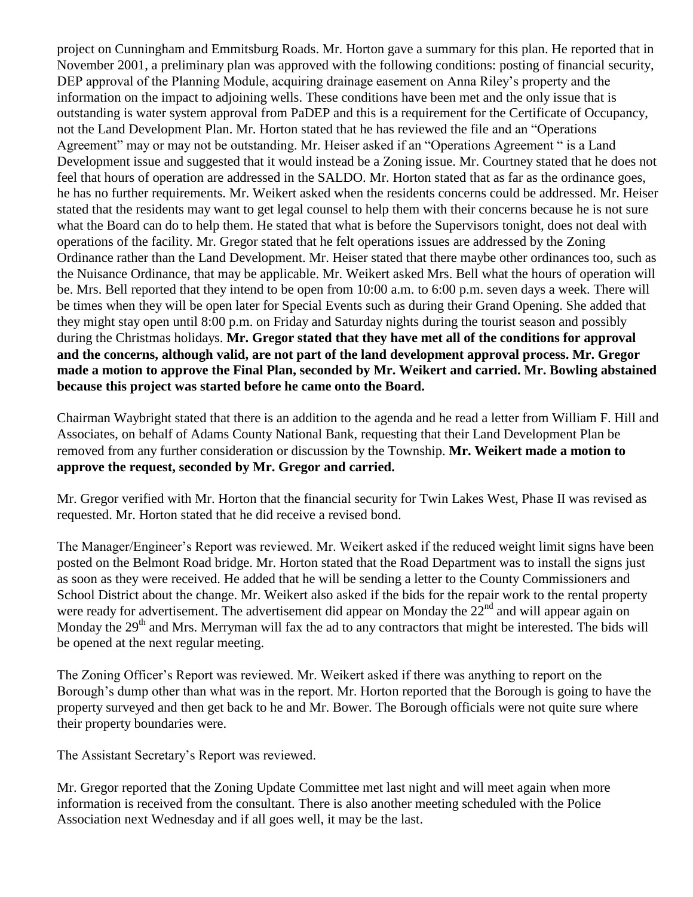project on Cunningham and Emmitsburg Roads. Mr. Horton gave a summary for this plan. He reported that in November 2001, a preliminary plan was approved with the following conditions: posting of financial security, DEP approval of the Planning Module, acquiring drainage easement on Anna Riley's property and the information on the impact to adjoining wells. These conditions have been met and the only issue that is outstanding is water system approval from PaDEP and this is a requirement for the Certificate of Occupancy, not the Land Development Plan. Mr. Horton stated that he has reviewed the file and an "Operations Agreement" may or may not be outstanding. Mr. Heiser asked if an "Operations Agreement " is a Land Development issue and suggested that it would instead be a Zoning issue. Mr. Courtney stated that he does not feel that hours of operation are addressed in the SALDO. Mr. Horton stated that as far as the ordinance goes, he has no further requirements. Mr. Weikert asked when the residents concerns could be addressed. Mr. Heiser stated that the residents may want to get legal counsel to help them with their concerns because he is not sure what the Board can do to help them. He stated that what is before the Supervisors tonight, does not deal with operations of the facility. Mr. Gregor stated that he felt operations issues are addressed by the Zoning Ordinance rather than the Land Development. Mr. Heiser stated that there maybe other ordinances too, such as the Nuisance Ordinance, that may be applicable. Mr. Weikert asked Mrs. Bell what the hours of operation will be. Mrs. Bell reported that they intend to be open from 10:00 a.m. to 6:00 p.m. seven days a week. There will be times when they will be open later for Special Events such as during their Grand Opening. She added that they might stay open until 8:00 p.m. on Friday and Saturday nights during the tourist season and possibly during the Christmas holidays. **Mr. Gregor stated that they have met all of the conditions for approval and the concerns, although valid, are not part of the land development approval process. Mr. Gregor made a motion to approve the Final Plan, seconded by Mr. Weikert and carried. Mr. Bowling abstained because this project was started before he came onto the Board.** 

Chairman Waybright stated that there is an addition to the agenda and he read a letter from William F. Hill and Associates, on behalf of Adams County National Bank, requesting that their Land Development Plan be removed from any further consideration or discussion by the Township. **Mr. Weikert made a motion to approve the request, seconded by Mr. Gregor and carried.**

Mr. Gregor verified with Mr. Horton that the financial security for Twin Lakes West, Phase II was revised as requested. Mr. Horton stated that he did receive a revised bond.

The Manager/Engineer's Report was reviewed. Mr. Weikert asked if the reduced weight limit signs have been posted on the Belmont Road bridge. Mr. Horton stated that the Road Department was to install the signs just as soon as they were received. He added that he will be sending a letter to the County Commissioners and School District about the change. Mr. Weikert also asked if the bids for the repair work to the rental property were ready for advertisement. The advertisement did appear on Monday the  $22<sup>nd</sup>$  and will appear again on Monday the 29<sup>th</sup> and Mrs. Merryman will fax the ad to any contractors that might be interested. The bids will be opened at the next regular meeting.

The Zoning Officer's Report was reviewed. Mr. Weikert asked if there was anything to report on the Borough's dump other than what was in the report. Mr. Horton reported that the Borough is going to have the property surveyed and then get back to he and Mr. Bower. The Borough officials were not quite sure where their property boundaries were.

The Assistant Secretary's Report was reviewed.

Mr. Gregor reported that the Zoning Update Committee met last night and will meet again when more information is received from the consultant. There is also another meeting scheduled with the Police Association next Wednesday and if all goes well, it may be the last.